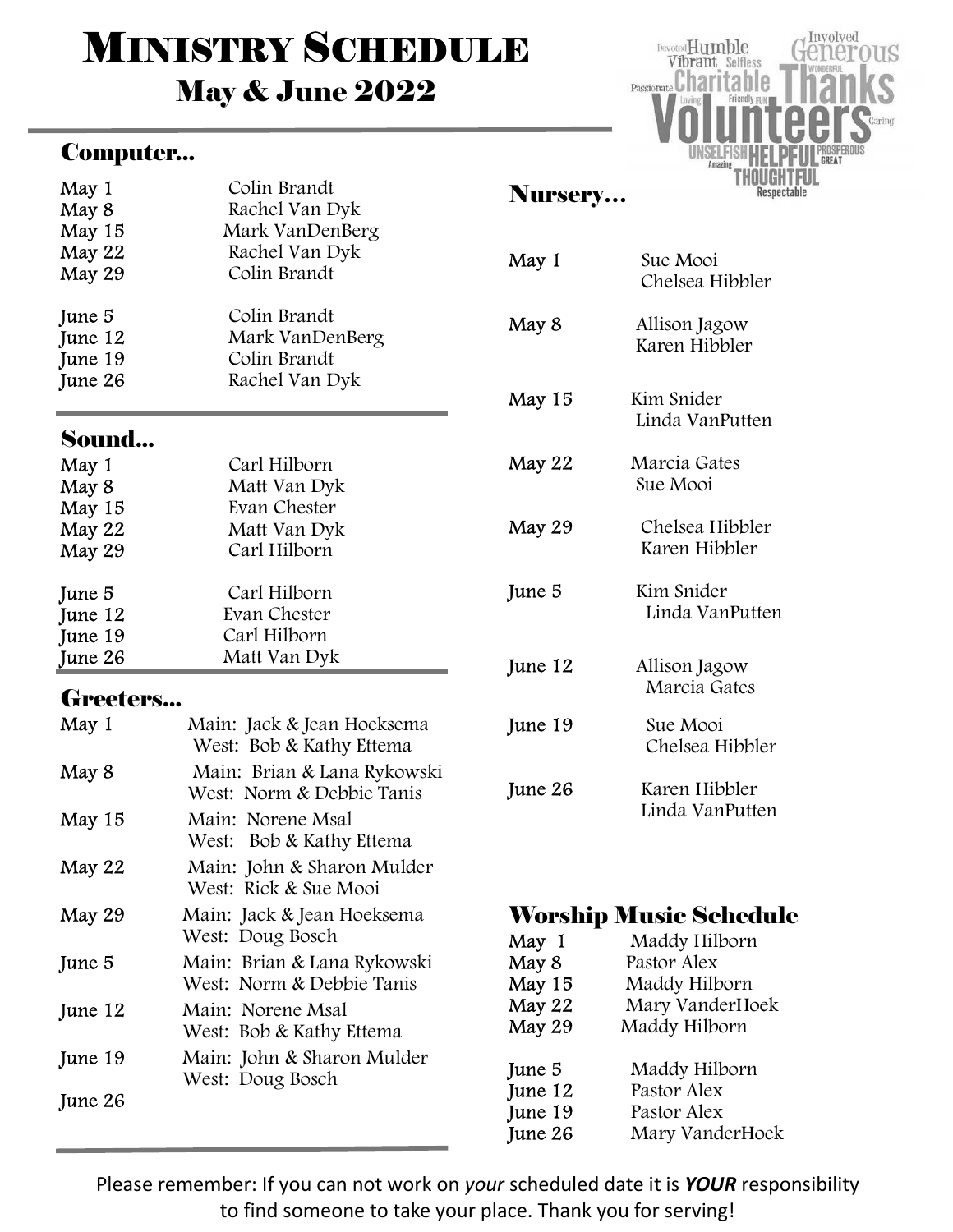# **MINISTRY SCHEDULE**

## May & June 2022

#### Computer...



#### Sound...

| May 1<br>May 8<br>May 15<br>May 22<br>May 29 | Carl Hilborn<br>Matt Van Dyk<br>Evan Chester<br>Matt Van Dyk<br>Carl Hilborn |
|----------------------------------------------|------------------------------------------------------------------------------|
|                                              |                                                                              |
| June 5                                       | Carl Hilborn                                                                 |
| June 12                                      | Evan Chester                                                                 |
| June 19                                      | Carl Hilborn                                                                 |
| June 26                                      | Matt Van Dyk                                                                 |

#### Greeters...

| May 1   | Main: Jack & Jean Hoeksema<br>West: Bob & Kathy Ettema   |
|---------|----------------------------------------------------------|
| May 8   | Main: Brian & Lana Rykowski<br>West: Norm & Debbie Tanis |
| May 15  | Main: Norene Msal<br>West: Bob & Kathy Ettema            |
| May 22  | Main: John & Sharon Mulder<br>West: Rick & Sue Mooi      |
| May 29  | Main: Jack & Jean Hoeksema<br>West: Doug Bosch           |
| June 5  | Main: Brian & Lana Rykowski<br>West: Norm & Debbie Tanis |
| June 12 | Main: Norene Msal<br>West: Bob & Kathy Ettema            |
| June 19 | Main: John & Sharon Mulder<br>West: Doug Bosch           |
| June 26 |                                                          |

#### Nursery…

| May 1   | Sue Mooi<br>Chelsea Hibbler      |
|---------|----------------------------------|
| May 8   | Allison Jagow<br>Karen Hibbler   |
| May 15  | Kim Snider<br>Linda VanPutten    |
| May 22  | Marcia Gates<br>Sue Mooi         |
| May 29  | Chelsea Hibbler<br>Karen Hibbler |
| June 5  | Kim Snider<br>Linda VanPutten    |
| June 12 | Allison Jagow<br>Marcia Gates    |
| June 19 | Sue Mooi<br>Chelsea Hibbler      |
| June 26 | Karen Hibbler<br>Linda VanPutten |

Involved

THOUGHTFUI Respectable

<del>J</del>enerous

Devoted Humble

Vibrant Selfless Passionate Charitable

## Worship Music Schedule

| May 1<br>May 8<br>May 15 | Maddy Hilborn<br>Pastor Alex<br>Maddy Hilborn |
|--------------------------|-----------------------------------------------|
| May 22<br>May 29         | Mary VanderHoek<br>Maddy Hilborn              |
| June 5                   | Maddy Hilborn                                 |
| June 12                  | Pastor Alex                                   |
| June 19                  | Pastor Alex                                   |
| June 26                  | Mary VanderHoek                               |

Please remember: If you can not work on your scheduled date it is YOUR responsibility to find someone to take your place. Thank you for serving!